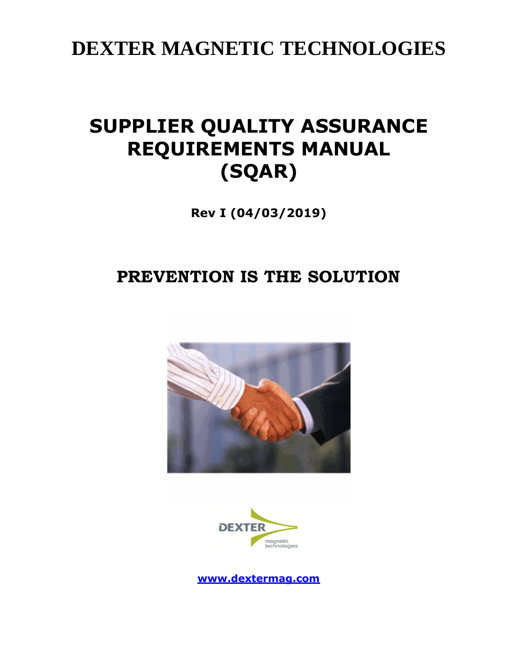**DEXTER MAGNETIC TECHNOLOGIES**

# **SUPPLIER QUALITY ASSURANCE REQUIREMENTS MANUAL (SQAR)**

**Rev I (04/03/2019)**

# **PREVENTION IS THE SOLUTION**





**[www.dextermag.com](http://www.dextermag.com/)**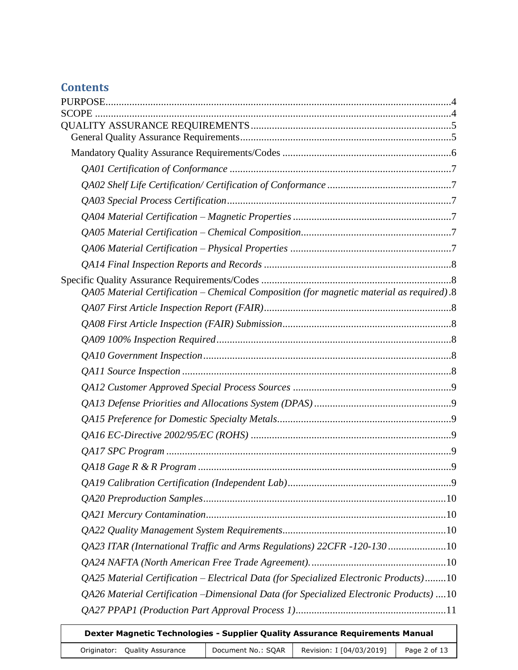# **Contents**

| QA05 Material Certification – Chemical Composition (for magnetic material as required).8 |  |
|------------------------------------------------------------------------------------------|--|
|                                                                                          |  |
|                                                                                          |  |
|                                                                                          |  |
|                                                                                          |  |
|                                                                                          |  |
|                                                                                          |  |
|                                                                                          |  |
|                                                                                          |  |
|                                                                                          |  |
|                                                                                          |  |
|                                                                                          |  |
|                                                                                          |  |
|                                                                                          |  |
|                                                                                          |  |
|                                                                                          |  |
| QA23 ITAR (International Traffic and Arms Regulations) 22CFR -120-130 10                 |  |
|                                                                                          |  |
| QA25 Material Certification - Electrical Data (for Specialized Electronic Products)10    |  |
| QA26 Material Certification –Dimensional Data (for Specialized Electronic Products) 10   |  |
|                                                                                          |  |
|                                                                                          |  |

| Dexter Magnetic Technologies - Supplier Quality Assurance Requirements Manual |                    |                          |              |
|-------------------------------------------------------------------------------|--------------------|--------------------------|--------------|
| Originator: Quality Assurance                                                 | Document No.: SQAR | Revision: I [04/03/2019] | Page 2 of 13 |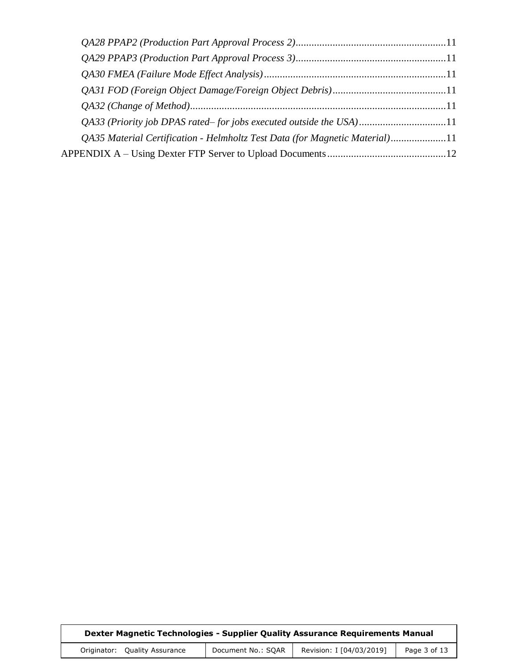| QA33 (Priority job DPAS rated–for jobs executed outside the USA)11          |  |
|-----------------------------------------------------------------------------|--|
| QA35 Material Certification - Helmholtz Test Data (for Magnetic Material)11 |  |
|                                                                             |  |
|                                                                             |  |

| Dexter Magnetic Technologies - Supplier Quality Assurance Requirements Manual |                    |                          |              |
|-------------------------------------------------------------------------------|--------------------|--------------------------|--------------|
| Originator: Quality Assurance                                                 | Document No.: SQAR | Revision: I [04/03/2019] | Page 3 of 13 |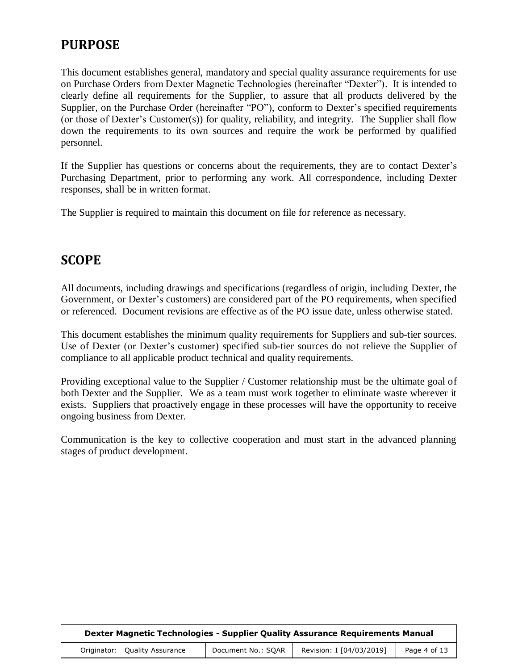# <span id="page-3-0"></span>**PURPOSE**

This document establishes general, mandatory and special quality assurance requirements for use on Purchase Orders from Dexter Magnetic Technologies (hereinafter "Dexter"). It is intended to clearly define all requirements for the Supplier, to assure that all products delivered by the Supplier, on the Purchase Order (hereinafter "PO"), conform to Dexter's specified requirements (or those of Dexter's Customer(s)) for quality, reliability, and integrity. The Supplier shall flow down the requirements to its own sources and require the work be performed by qualified personnel.

If the Supplier has questions or concerns about the requirements, they are to contact Dexter's Purchasing Department, prior to performing any work. All correspondence, including Dexter responses, shall be in written format.

The Supplier is required to maintain this document on file for reference as necessary.

## <span id="page-3-1"></span>**SCOPE**

All documents, including drawings and specifications (regardless of origin, including Dexter, the Government, or Dexter's customers) are considered part of the PO requirements, when specified or referenced. Document revisions are effective as of the PO issue date, unless otherwise stated.

This document establishes the minimum quality requirements for Suppliers and sub-tier sources. Use of Dexter (or Dexter's customer) specified sub-tier sources do not relieve the Supplier of compliance to all applicable product technical and quality requirements.

Providing exceptional value to the Supplier / Customer relationship must be the ultimate goal of both Dexter and the Supplier. We as a team must work together to eliminate waste wherever it exists. Suppliers that proactively engage in these processes will have the opportunity to receive ongoing business from Dexter.

Communication is the key to collective cooperation and must start in the advanced planning stages of product development.

| Dexter Magnetic Technologies - Supplier Quality Assurance Requirements Manual |                    |                          |              |
|-------------------------------------------------------------------------------|--------------------|--------------------------|--------------|
| Originator: Quality Assurance                                                 | Document No.: SOAR | Revision: I [04/03/2019] | Page 4 of 13 |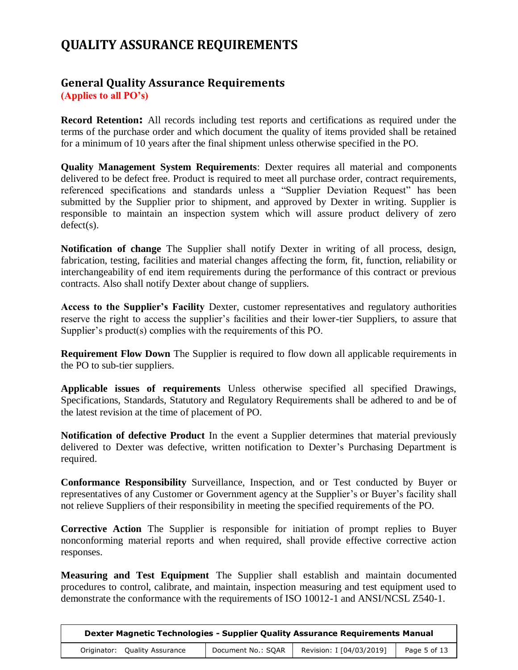# <span id="page-4-0"></span>**QUALITY ASSURANCE REQUIREMENTS**

#### <span id="page-4-1"></span>**General Quality Assurance Requirements (Applies to all PO's)**

**Record Retention:** All records including test reports and certifications as required under the terms of the purchase order and which document the quality of items provided shall be retained for a minimum of 10 years after the final shipment unless otherwise specified in the PO.

**Quality Management System Requirements**: Dexter requires all material and components delivered to be defect free. Product is required to meet all purchase order, contract requirements, referenced specifications and standards unless a "Supplier Deviation Request" has been submitted by the Supplier prior to shipment, and approved by Dexter in writing. Supplier is responsible to maintain an inspection system which will assure product delivery of zero defect(s).

**Notification of change** The Supplier shall notify Dexter in writing of all process, design, fabrication, testing, facilities and material changes affecting the form, fit, function, reliability or interchangeability of end item requirements during the performance of this contract or previous contracts. Also shall notify Dexter about change of suppliers.

**Access to the Supplier's Facility** Dexter, customer representatives and regulatory authorities reserve the right to access the supplier's facilities and their lower-tier Suppliers, to assure that Supplier's product(s) complies with the requirements of this PO.

**Requirement Flow Down** The Supplier is required to flow down all applicable requirements in the PO to sub-tier suppliers.

**Applicable issues of requirements** Unless otherwise specified all specified Drawings, Specifications, Standards, Statutory and Regulatory Requirements shall be adhered to and be of the latest revision at the time of placement of PO.

**Notification of defective Product** In the event a Supplier determines that material previously delivered to Dexter was defective, written notification to Dexter's Purchasing Department is required.

**Conformance Responsibility** Surveillance, Inspection, and or Test conducted by Buyer or representatives of any Customer or Government agency at the Supplier's or Buyer's facility shall not relieve Suppliers of their responsibility in meeting the specified requirements of the PO.

**Corrective Action** The Supplier is responsible for initiation of prompt replies to Buyer nonconforming material reports and when required, shall provide effective corrective action responses.

**Measuring and Test Equipment** The Supplier shall establish and maintain documented procedures to control, calibrate, and maintain, inspection measuring and test equipment used to demonstrate the conformance with the requirements of ISO 10012-1 and ANSI/NCSL Z540-1.

| Dexter Magnetic Technologies - Supplier Quality Assurance Requirements Manual |                    |                          |              |
|-------------------------------------------------------------------------------|--------------------|--------------------------|--------------|
| Originator: Quality Assurance                                                 | Document No.: SQAR | Revision: I [04/03/2019] | Page 5 of 13 |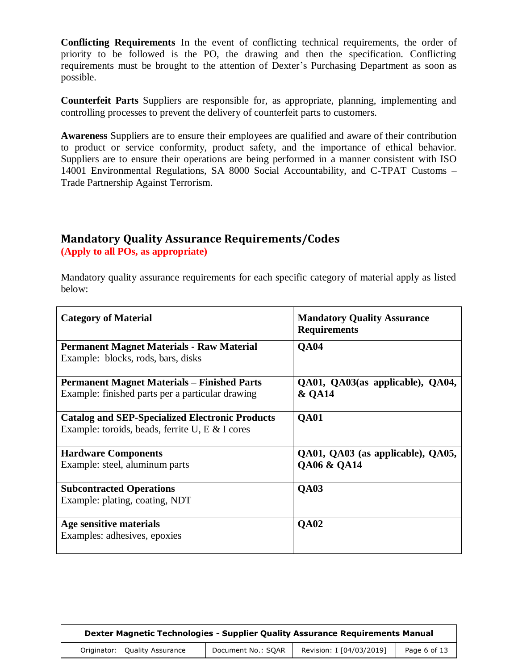**Conflicting Requirements** In the event of conflicting technical requirements, the order of priority to be followed is the PO, the drawing and then the specification. Conflicting requirements must be brought to the attention of Dexter's Purchasing Department as soon as possible.

**Counterfeit Parts** Suppliers are responsible for, as appropriate, planning, implementing and controlling processes to prevent the delivery of counterfeit parts to customers.

**Awareness** Suppliers are to ensure their employees are qualified and aware of their contribution to product or service conformity, product safety, and the importance of ethical behavior. Suppliers are to ensure their operations are being performed in a manner consistent with ISO 14001 Environmental Regulations, SA 8000 Social Accountability, and C-TPAT Customs – Trade Partnership Against Terrorism.

#### <span id="page-5-0"></span>**Mandatory Quality Assurance Requirements/Codes (Apply to all POs, as appropriate)**

Mandatory quality assurance requirements for each specific category of material apply as listed below:

| <b>Category of Material</b>                                                                               | <b>Mandatory Quality Assurance</b><br><b>Requirements</b> |
|-----------------------------------------------------------------------------------------------------------|-----------------------------------------------------------|
| <b>Permanent Magnet Materials - Raw Material</b><br>Example: blocks, rods, bars, disks                    | <b>QA04</b>                                               |
| <b>Permanent Magnet Materials – Finished Parts</b><br>Example: finished parts per a particular drawing    | QA01, QA03(as applicable), QA04,<br><b>&amp; QA14</b>     |
| <b>Catalog and SEP-Specialized Electronic Products</b><br>Example: toroids, beads, ferrite U, E & I cores | <b>QA01</b>                                               |
| <b>Hardware Components</b><br>Example: steel, aluminum parts                                              | QA01, QA03 (as applicable), QA05,<br>QA06 & QA14          |
| <b>Subcontracted Operations</b><br>Example: plating, coating, NDT                                         | <b>QA03</b>                                               |
| Age sensitive materials<br>Examples: adhesives, epoxies                                                   | <b>QA02</b>                                               |

| Dexter Magnetic Technologies - Supplier Quality Assurance Requirements Manual |                    |                          |              |
|-------------------------------------------------------------------------------|--------------------|--------------------------|--------------|
| Originator: Quality Assurance                                                 | Document No.: SOAR | Revision: I [04/03/2019] | Page 6 of 13 |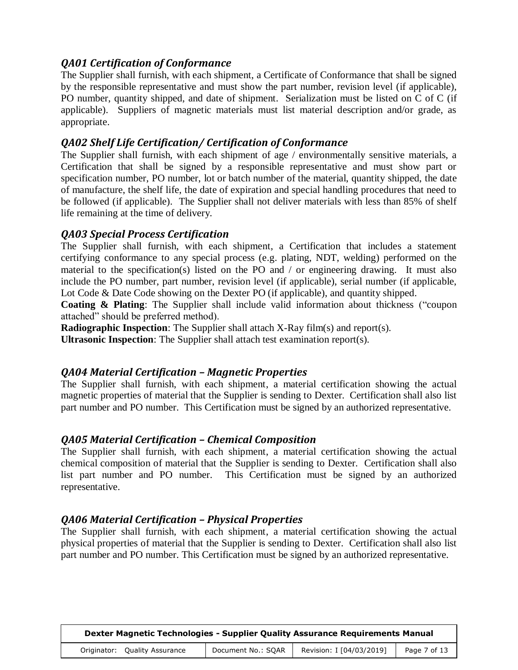#### <span id="page-6-0"></span>*QA01 Certification of Conformance*

The Supplier shall furnish, with each shipment, a Certificate of Conformance that shall be signed by the responsible representative and must show the part number, revision level (if applicable), PO number, quantity shipped, and date of shipment. Serialization must be listed on C of C (if applicable). Suppliers of magnetic materials must list material description and/or grade, as appropriate.

#### <span id="page-6-1"></span>*QA02 Shelf Life Certification/ Certification of Conformance*

The Supplier shall furnish, with each shipment of age / environmentally sensitive materials, a Certification that shall be signed by a responsible representative and must show part or specification number, PO number, lot or batch number of the material, quantity shipped, the date of manufacture, the shelf life, the date of expiration and special handling procedures that need to be followed (if applicable). The Supplier shall not deliver materials with less than 85% of shelf life remaining at the time of delivery.

#### <span id="page-6-2"></span>*QA03 Special Process Certification*

The Supplier shall furnish, with each shipment, a Certification that includes a statement certifying conformance to any special process (e.g. plating, NDT, welding) performed on the material to the specification(s) listed on the PO and / or engineering drawing. It must also include the PO number, part number, revision level (if applicable), serial number (if applicable, Lot Code & Date Code showing on the Dexter PO (if applicable), and quantity shipped.

**Coating & Plating**: The Supplier shall include valid information about thickness ("coupon attached" should be preferred method).

**Radiographic Inspection**: The Supplier shall attach X-Ray film(s) and report(s).

**Ultrasonic Inspection**: The Supplier shall attach test examination report(s).

#### <span id="page-6-3"></span>*QA04 Material Certification – Magnetic Properties*

The Supplier shall furnish, with each shipment, a material certification showing the actual magnetic properties of material that the Supplier is sending to Dexter. Certification shall also list part number and PO number. This Certification must be signed by an authorized representative.

#### <span id="page-6-4"></span>*QA05 Material Certification – Chemical Composition*

The Supplier shall furnish, with each shipment, a material certification showing the actual chemical composition of material that the Supplier is sending to Dexter. Certification shall also list part number and PO number. This Certification must be signed by an authorized representative.

#### <span id="page-6-5"></span>*QA06 Material Certification – Physical Properties*

The Supplier shall furnish, with each shipment, a material certification showing the actual physical properties of material that the Supplier is sending to Dexter. Certification shall also list part number and PO number. This Certification must be signed by an authorized representative.

| Dexter Magnetic Technologies - Supplier Quality Assurance Requirements Manual |                    |                          |              |
|-------------------------------------------------------------------------------|--------------------|--------------------------|--------------|
| Originator: Ouality Assurance                                                 | Document No.: SOAR | Revision: I [04/03/2019] | Page 7 of 13 |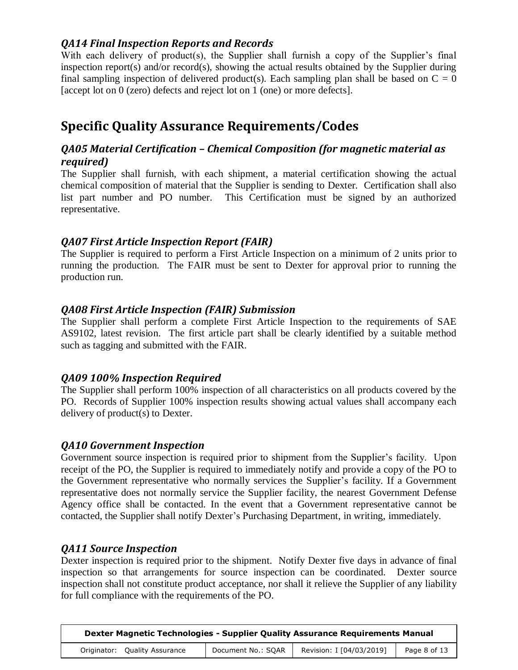#### <span id="page-7-0"></span>*QA14 Final Inspection Reports and Records*

With each delivery of product(s), the Supplier shall furnish a copy of the Supplier's final inspection report(s) and/or record(s), showing the actual results obtained by the Supplier during final sampling inspection of delivered product(s). Each sampling plan shall be based on  $C = 0$ [accept lot on 0 (zero) defects and reject lot on 1 (one) or more defects].

# <span id="page-7-1"></span>**Specific Quality Assurance Requirements/Codes**

#### <span id="page-7-2"></span>*QA05 Material Certification – Chemical Composition (for magnetic material as required)*

The Supplier shall furnish, with each shipment, a material certification showing the actual chemical composition of material that the Supplier is sending to Dexter. Certification shall also list part number and PO number. This Certification must be signed by an authorized representative.

#### <span id="page-7-3"></span>*QA07 First Article Inspection Report (FAIR)*

The Supplier is required to perform a First Article Inspection on a minimum of 2 units prior to running the production. The FAIR must be sent to Dexter for approval prior to running the production run.

#### <span id="page-7-4"></span>*QA08 First Article Inspection (FAIR) Submission*

The Supplier shall perform a complete First Article Inspection to the requirements of SAE AS9102, latest revision. The first article part shall be clearly identified by a suitable method such as tagging and submitted with the FAIR.

#### <span id="page-7-5"></span>*QA09 100% Inspection Required*

The Supplier shall perform 100% inspection of all characteristics on all products covered by the PO. Records of Supplier 100% inspection results showing actual values shall accompany each delivery of product(s) to Dexter.

#### <span id="page-7-6"></span>*QA10 Government Inspection*

Government source inspection is required prior to shipment from the Supplier's facility. Upon receipt of the PO, the Supplier is required to immediately notify and provide a copy of the PO to the Government representative who normally services the Supplier's facility. If a Government representative does not normally service the Supplier facility, the nearest Government Defense Agency office shall be contacted. In the event that a Government representative cannot be contacted, the Supplier shall notify Dexter's Purchasing Department, in writing, immediately.

#### <span id="page-7-7"></span>*QA11 Source Inspection*

Dexter inspection is required prior to the shipment. Notify Dexter five days in advance of final inspection so that arrangements for source inspection can be coordinated. Dexter source inspection shall not constitute product acceptance, nor shall it relieve the Supplier of any liability for full compliance with the requirements of the PO.

| <b>Dexter Magnetic Technologies - Supplier Quality Assurance Requirements Manual</b> |                    |                          |              |
|--------------------------------------------------------------------------------------|--------------------|--------------------------|--------------|
| Originator: Quality Assurance                                                        | Document No.: SQAR | Revision: I [04/03/2019] | Page 8 of 13 |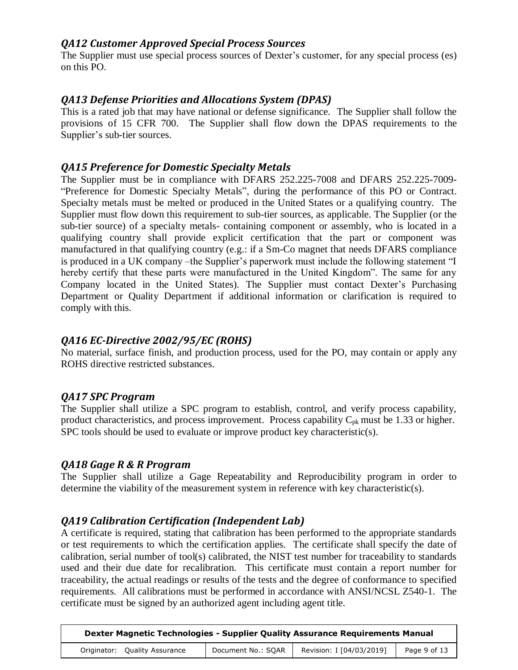#### <span id="page-8-0"></span>*QA12 Customer Approved Special Process Sources*

The Supplier must use special process sources of Dexter's customer, for any special process (es) on this PO.

#### <span id="page-8-1"></span>*QA13 Defense Priorities and Allocations System (DPAS)*

This is a rated job that may have national or defense significance. The Supplier shall follow the provisions of 15 CFR 700. The Supplier shall flow down the DPAS requirements to the Supplier's sub-tier sources.

#### <span id="page-8-2"></span>*QA15 Preference for Domestic Specialty Metals*

The Supplier must be in compliance with DFARS 252.225-7008 and DFARS 252.225-7009- "Preference for Domestic Specialty Metals", during the performance of this PO or Contract. Specialty metals must be melted or produced in the United States or a qualifying country. The Supplier must flow down this requirement to sub-tier sources, as applicable. The Supplier (or the sub-tier source) of a specialty metals- containing component or assembly, who is located in a qualifying country shall provide explicit certification that the part or component was manufactured in that qualifying country (e.g.: if a Sm-Co magnet that needs DFARS compliance is produced in a UK company –the Supplier's paperwork must include the following statement "I hereby certify that these parts were manufactured in the United Kingdom". The same for any Company located in the United States). The Supplier must contact Dexter's Purchasing Department or Quality Department if additional information or clarification is required to comply with this.

#### <span id="page-8-3"></span>*QA16 EC-Directive 2002/95/EC (ROHS)*

No material, surface finish, and production process, used for the PO, may contain or apply any ROHS directive restricted substances.

#### <span id="page-8-4"></span>*QA17 SPC Program*

The Supplier shall utilize a SPC program to establish, control, and verify process capability, product characteristics, and process improvement. Process capability  $C_{pk}$  must be 1.33 or higher. SPC tools should be used to evaluate or improve product key characteristic(s).

#### <span id="page-8-5"></span>*QA18 Gage R & R Program*

The Supplier shall utilize a Gage Repeatability and Reproducibility program in order to determine the viability of the measurement system in reference with key characteristic(s).

#### <span id="page-8-6"></span>*QA19 Calibration Certification (Independent Lab)*

A certificate is required, stating that calibration has been performed to the appropriate standards or test requirements to which the certification applies. The certificate shall specify the date of calibration, serial number of tool(s) calibrated, the NIST test number for traceability to standards used and their due date for recalibration. This certificate must contain a report number for traceability, the actual readings or results of the tests and the degree of conformance to specified requirements. All calibrations must be performed in accordance with ANSI/NCSL Z540-1. The certificate must be signed by an authorized agent including agent title.

| Dexter Magnetic Technologies - Supplier Quality Assurance Requirements Manual |                    |                          |              |
|-------------------------------------------------------------------------------|--------------------|--------------------------|--------------|
| Originator: Quality Assurance                                                 | Document No.: SQAR | Revision: I [04/03/2019] | Page 9 of 13 |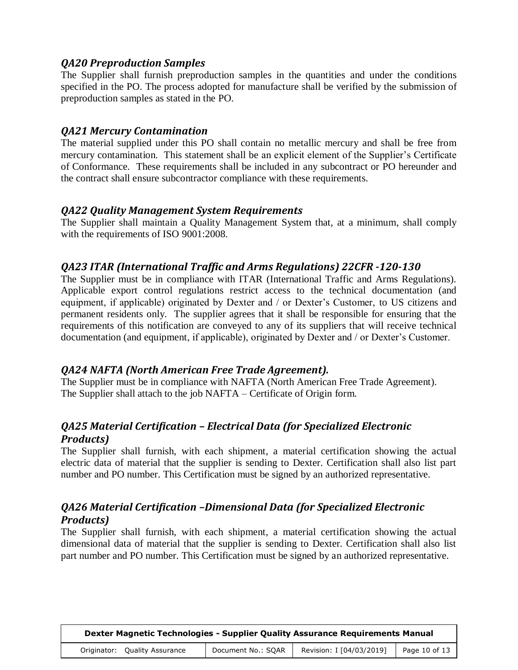#### <span id="page-9-0"></span>*QA20 Preproduction Samples*

The Supplier shall furnish preproduction samples in the quantities and under the conditions specified in the PO. The process adopted for manufacture shall be verified by the submission of preproduction samples as stated in the PO.

#### <span id="page-9-1"></span>*QA21 Mercury Contamination*

The material supplied under this PO shall contain no metallic mercury and shall be free from mercury contamination. This statement shall be an explicit element of the Supplier's Certificate of Conformance. These requirements shall be included in any subcontract or PO hereunder and the contract shall ensure subcontractor compliance with these requirements.

#### <span id="page-9-2"></span>*QA22 Quality Management System Requirements*

The Supplier shall maintain a Quality Management System that, at a minimum, shall comply with the requirements of ISO 9001:2008.

#### <span id="page-9-3"></span>*QA23 ITAR (International Traffic and Arms Regulations) 22CFR -120-130*

The Supplier must be in compliance with ITAR (International Traffic and Arms Regulations). Applicable export control regulations restrict access to the technical documentation (and equipment, if applicable) originated by Dexter and / or Dexter's Customer, to US citizens and permanent residents only. The supplier agrees that it shall be responsible for ensuring that the requirements of this notification are conveyed to any of its suppliers that will receive technical documentation (and equipment, if applicable), originated by Dexter and / or Dexter's Customer.

#### <span id="page-9-4"></span>*QA24 NAFTA (North American Free Trade Agreement).*

The Supplier must be in compliance with NAFTA (North American Free Trade Agreement). The Supplier shall attach to the job NAFTA – Certificate of Origin form.

## <span id="page-9-5"></span>*QA25 Material Certification – Electrical Data (for Specialized Electronic Products)*

The Supplier shall furnish, with each shipment, a material certification showing the actual electric data of material that the supplier is sending to Dexter. Certification shall also list part number and PO number. This Certification must be signed by an authorized representative.

## <span id="page-9-6"></span>*QA26 Material Certification –Dimensional Data (for Specialized Electronic Products)*

The Supplier shall furnish, with each shipment, a material certification showing the actual dimensional data of material that the supplier is sending to Dexter. Certification shall also list part number and PO number. This Certification must be signed by an authorized representative.

| Dexter Magnetic Technologies - Supplier Quality Assurance Requirements Manual |                    |                          |               |
|-------------------------------------------------------------------------------|--------------------|--------------------------|---------------|
| Originator: Quality Assurance                                                 | Document No.: SOAR | Revision: I [04/03/2019] | Page 10 of 13 |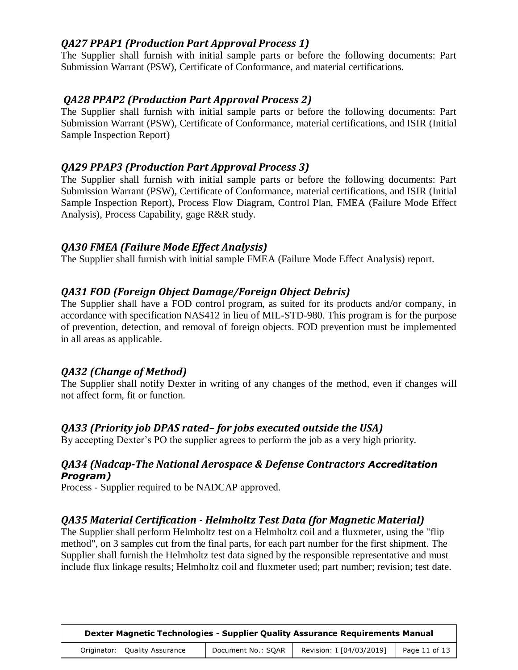## <span id="page-10-0"></span>*QA27 PPAP1 (Production Part Approval Process 1)*

The Supplier shall furnish with initial sample parts or before the following documents: Part Submission Warrant (PSW), Certificate of Conformance, and material certifications.

### <span id="page-10-1"></span>*QA28 PPAP2 (Production Part Approval Process 2)*

The Supplier shall furnish with initial sample parts or before the following documents: Part Submission Warrant (PSW), Certificate of Conformance, material certifications, and ISIR (Initial Sample Inspection Report)

#### <span id="page-10-2"></span>*QA29 PPAP3 (Production Part Approval Process 3)*

The Supplier shall furnish with initial sample parts or before the following documents: Part Submission Warrant (PSW), Certificate of Conformance, material certifications, and ISIR (Initial Sample Inspection Report), Process Flow Diagram, Control Plan, FMEA (Failure Mode Effect Analysis), Process Capability, gage R&R study.

#### <span id="page-10-3"></span>*QA30 FMEA (Failure Mode Effect Analysis)*

The Supplier shall furnish with initial sample FMEA (Failure Mode Effect Analysis) report.

#### <span id="page-10-4"></span>*QA31 FOD (Foreign Object Damage/Foreign Object Debris)*

The Supplier shall have a FOD control program, as suited for its products and/or company, in accordance with specification NAS412 in lieu of MIL-STD-980. This program is for the purpose of prevention, detection, and removal of foreign objects. FOD prevention must be implemented in all areas as applicable.

#### <span id="page-10-5"></span>*QA32 (Change of Method)*

The Supplier shall notify Dexter in writing of any changes of the method, even if changes will not affect form, fit or function.

#### <span id="page-10-6"></span>*QA33 (Priority job DPAS rated– for jobs executed outside the USA)*

By accepting Dexter's PO the supplier agrees to perform the job as a very high priority.

#### *QA34 (Nadcap-The National Aerospace & Defense Contractors Accreditation Program)*

Process - Supplier required to be NADCAP approved.

## <span id="page-10-7"></span>*QA35 Material Certification - Helmholtz Test Data (for Magnetic Material)*

The Supplier shall perform Helmholtz test on a Helmholtz coil and a fluxmeter, using the "flip method", on 3 samples cut from the final parts, for each part number for the first shipment. The Supplier shall furnish the Helmholtz test data signed by the responsible representative and must include flux linkage results; Helmholtz coil and fluxmeter used; part number; revision; test date.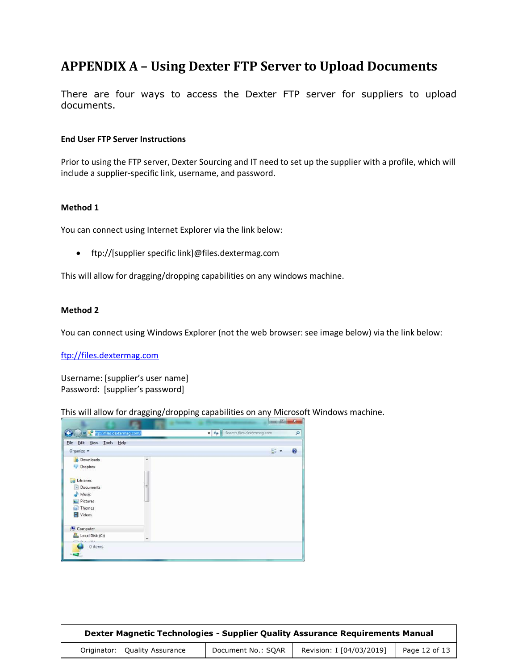## <span id="page-11-0"></span>**APPENDIX A – Using Dexter FTP Server to Upload Documents**

There are four ways to access the Dexter FTP server for suppliers to upload documents.

#### **End User FTP Server Instructions**

Prior to using the FTP server, Dexter Sourcing and IT need to set up the supplier with a profile, which will include a supplier-specific link, username, and password.

#### **Method 1**

You can connect using Internet Explorer via the link below:

ftp://[supplier specific link]@files.dextermag.com

This will allow for dragging/dropping capabilities on any windows machine.

#### **Method 2**

You can connect using Windows Explorer (not the web browser: see image below) via the link below:

[ftp://files.dextermag.com](ftp://files.dextermag.com/)

Username: [supplier's user name] Password: [supplier's password]

This will allow for dragging/dropping capabilities on any Microsoft Windows machine.

| Edit View<br>Tools Help<br>File |   |                                          |
|---------------------------------|---|------------------------------------------|
| Organize -                      |   | $g_{\overline{z}}$ .<br>$\boldsymbol{c}$ |
| <b>D</b> Downloads<br>Dropbox   | Ä |                                          |
|                                 |   |                                          |
| Libraries<br><b>Co</b>          |   |                                          |
| • Documents                     | Ξ |                                          |
| <b>Music</b>                    |   |                                          |
| Pictures                        |   |                                          |
| Themes                          |   |                                          |
| Videos                          |   |                                          |
| Computer                        |   |                                          |
| Local Disk (C:)                 | ٠ |                                          |

| Dexter Magnetic Technologies - Supplier Quality Assurance Requirements Manual |                    |                          |               |  |  |
|-------------------------------------------------------------------------------|--------------------|--------------------------|---------------|--|--|
| Originator: Quality Assurance                                                 | Document No.: SQAR | Revision: I [04/03/2019] | Page 12 of 13 |  |  |